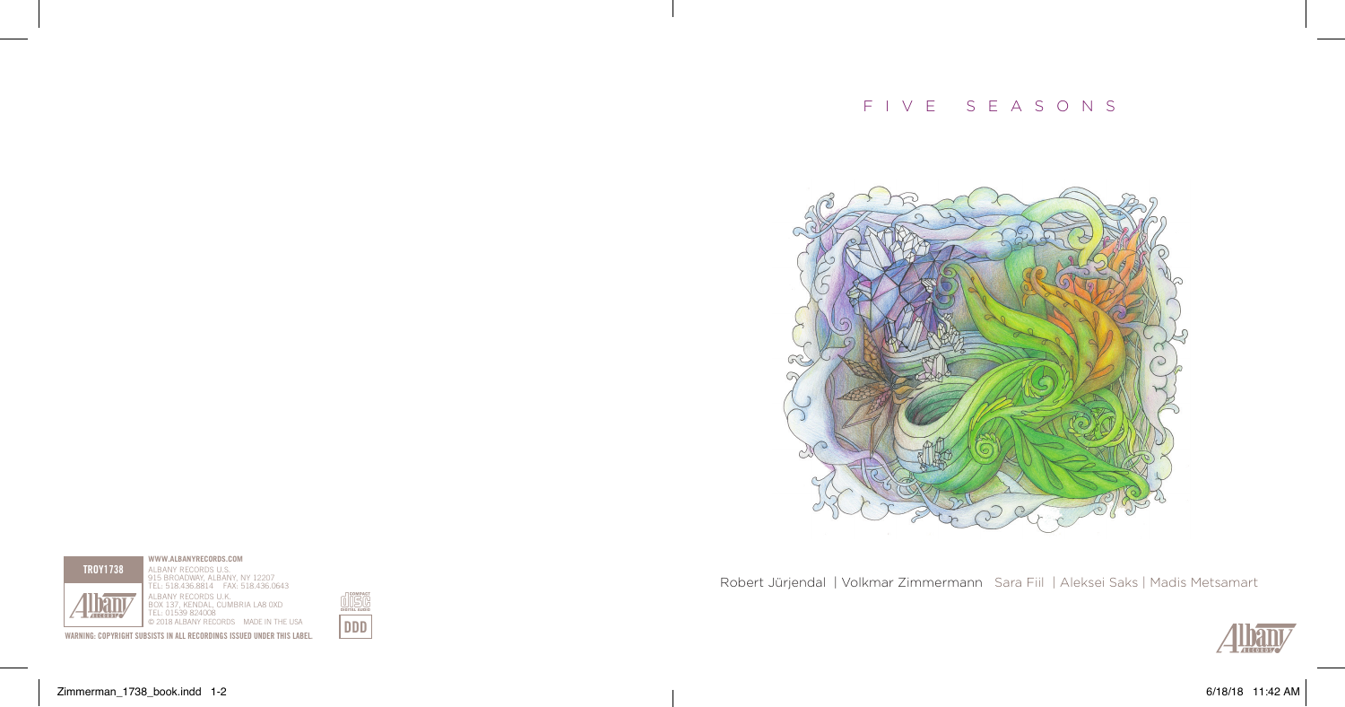# f i v e s e a s o n s



Robert Jürjendal | Volkmar Zimmermann Sara Fiil | Aleksei Saks | Madis Metsamart









**WWW.ALBANYRECORDS.COM** ALBANY RECORDS U.S.



**WARNING: COPYRIGHT SUBSISTS IN ALL RECORDINGS ISSUED UNDER THIS LABEL.** 

Zimmerman\_1738\_book.indd 1-2 6/18/18 11:42 AM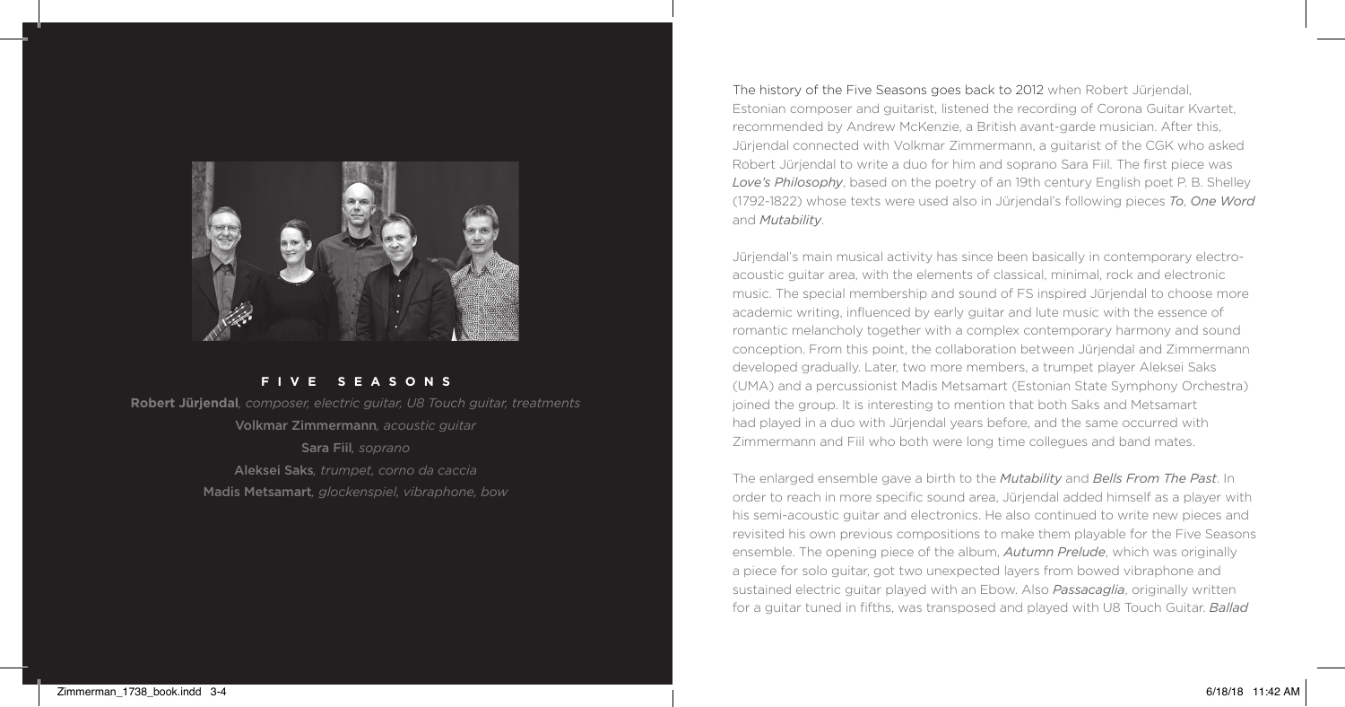

### **f i v e s e a s o n s**

**Robert Jürjendal***, composer, electric guitar, U8 Touch guitar, treatments* Volkmar Zimmermann*, acoustic guitar* Sara Fiil*, soprano* Aleksei Saks*, trumpet, corno da caccia* Madis Metsamart*, glockenspiel, vibraphone, bow*

The history of the Five Seasons goes back to 2012 when Robert Jürjendal, Estonian composer and guitarist, listened the recording of Corona Guitar Kvartet, recommended by Andrew McKenzie, a British avant-garde musician. After this, Jürjendal connected with Volkmar Zimmermann, a guitarist of the CGK who asked Robert Jürjendal to write a duo for him and soprano Sara Fiil. The first piece was *Love's Philosophy*, based on the poetry of an 19th century English poet P. B. Shelley (1792-1822) whose texts were used also in Jürjendal's following pieces *To*, *One Word* and *Mutability*.

Jürjendal's main musical activity has since been basically in contemporary electroacoustic guitar area, with the elements of classical, minimal, rock and electronic music. The special membership and sound of FS inspired Jürjendal to choose more academic writing, influenced by early guitar and lute music with the essence of romantic melancholy together with a complex contemporary harmony and sound conception. From this point, the collaboration between Jürjendal and Zimmermann developed gradually. Later, two more members, a trumpet player Aleksei Saks (UMA) and a percussionist Madis Metsamart (Estonian State Symphony Orchestra) joined the group. It is interesting to mention that both Saks and Metsamart had played in a duo with Jürjendal years before, and the same occurred with Zimmermann and Fiil who both were long time collegues and band mates.

The enlarged ensemble gave a birth to the *Mutability* and *Bells From The Past*. In order to reach in more specific sound area, Jürjendal added himself as a player with his semi-acoustic guitar and electronics. He also continued to write new pieces and revisited his own previous compositions to make them playable for the Five Seasons ensemble. The opening piece of the album, *Autumn Prelude*, which was originally a piece for solo guitar, got two unexpected layers from bowed vibraphone and sustained electric guitar played with an Ebow. Also *Passacaglia*, originally written for a guitar tuned in fifths, was transposed and played with U8 Touch Guitar. *Ballad*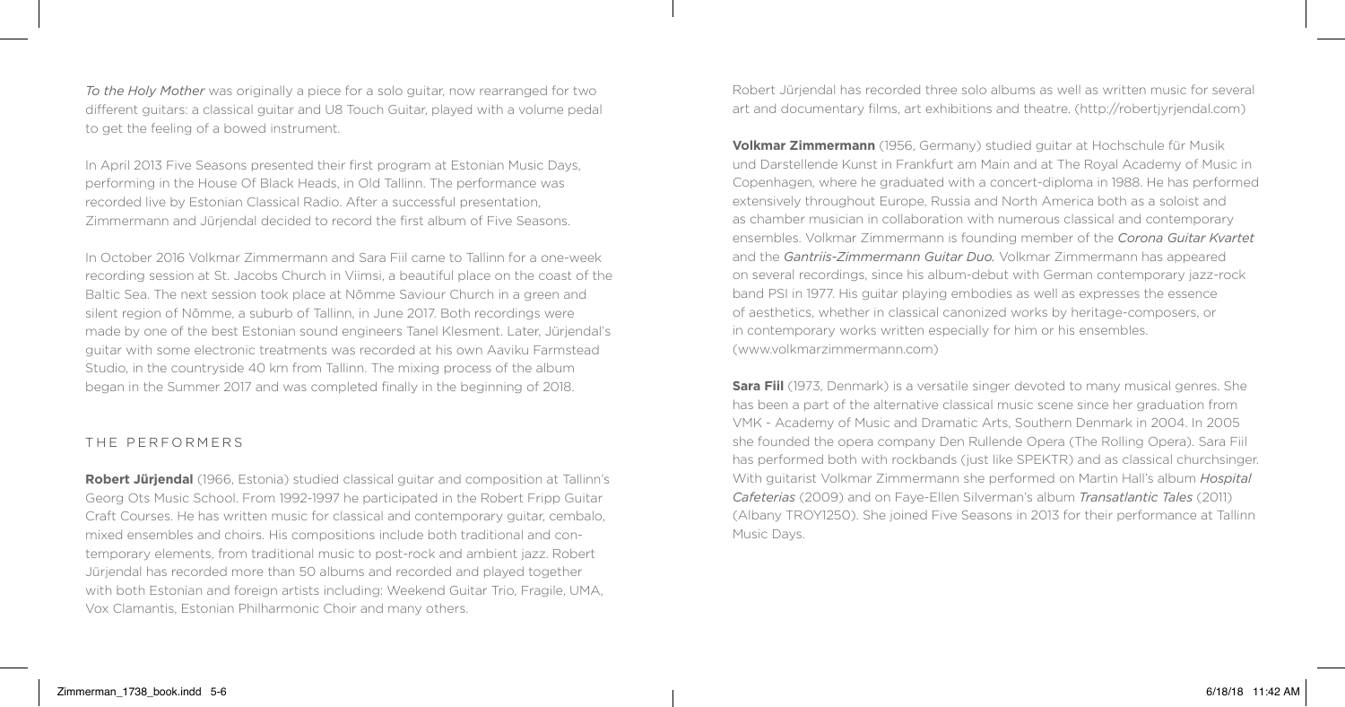*To the Holy Mother* was originally a piece for a solo guitar, now rearranged for two different guitars: a classical guitar and U8 Touch Guitar, played with a volume pedal to get the feeling of a bowed instrument.

In April 2013 Five Seasons presented their first program at Estonian Music Days, performing in the House Of Black Heads, in Old Tallinn. The performance was recorded live by Estonian Classical Radio. After a successful presentation, Zimmermann and Jürjendal decided to record the first album of Five Seasons.

In October 2016 Volkmar Zimmermann and Sara Fiil came to Tallinn for a one-week recording session at St. Jacobs Church in Viimsi, a beautiful place on the coast of the Baltic Sea. The next session took place at Nõmme Saviour Church in a green and silent region of Nõmme, a suburb of Tallinn, in June 2017. Both recordings were made by one of the best Estonian sound engineers Tanel Klesment. Later, Jürjendal's guitar with some electronic treatments was recorded at his own Aaviku Farmstead Studio, in the countryside 40 km from Tallinn. The mixing process of the album began in the Summer 2017 and was completed finally in the beginning of 2018.

### THE PERFORMERS

**Robert Jürjendal** (1966, Estonia) studied classical guitar and composition at Tallinn's Georg Ots Music School. From 1992-1997 he participated in the Robert Fripp Guitar Craft Courses. He has written music for classical and contemporary guitar, cembalo, mixed ensembles and choirs. His compositions include both traditional and contemporary elements, from traditional music to post-rock and ambient jazz. Robert Jürjendal has recorded more than 50 albums and recorded and played together with both Estonian and foreign artists including: Weekend Guitar Trio, Fragile, UMA, Vox Clamantis, Estonian Philharmonic Choir and many others.

Robert Jürjendal has recorded three solo albums as well as written music for several art and documentary films, art exhibitions and theatre. (http://robertjyrjendal.com)

**Volkmar Zimmermann** (1956, Germany) studied guitar at Hochschule für Musik und Darstellende Kunst in Frankfurt am Main and at The Royal Academy of Music in Copenhagen, where he graduated with a concert-diploma in 1988. He has performed extensively throughout Europe, Russia and North America both as a soloist and as chamber musician in collaboration with numerous classical and contemporary ensembles. Volkmar Zimmermann is founding member of the *Corona Guitar Kvartet* and the *Gantriis-Zimmermann Guitar Duo.* Volkmar Zimmermann has appeared on several recordings, since his album-debut with German contemporary jazz-rock band PSI in 1977. His guitar playing embodies as well as expresses the essence of aesthetics, whether in classical canonized works by heritage-composers, or in contemporary works written especially for him or his ensembles. (www.volkmarzimmermann.com)

**Sara Fiil** (1973, Denmark) is a versatile singer devoted to many musical genres. She has been a part of the alternative classical music scene since her graduation from VMK - Academy of Music and Dramatic Arts, Southern Denmark in 2004. In 2005 she founded the opera company Den Rullende Opera (The Rolling Opera). Sara Fiil has performed both with rockbands (just like SPEKTR) and as classical churchsinger. With guitarist Volkmar Zimmermann she performed on Martin Hall's album *Hospital Cafeterias* (2009) and on Faye-Ellen Silverman's album *Transatlantic Tales* (2011) (Albany TROY1250). She joined Five Seasons in 2013 for their performance at Tallinn Music Days.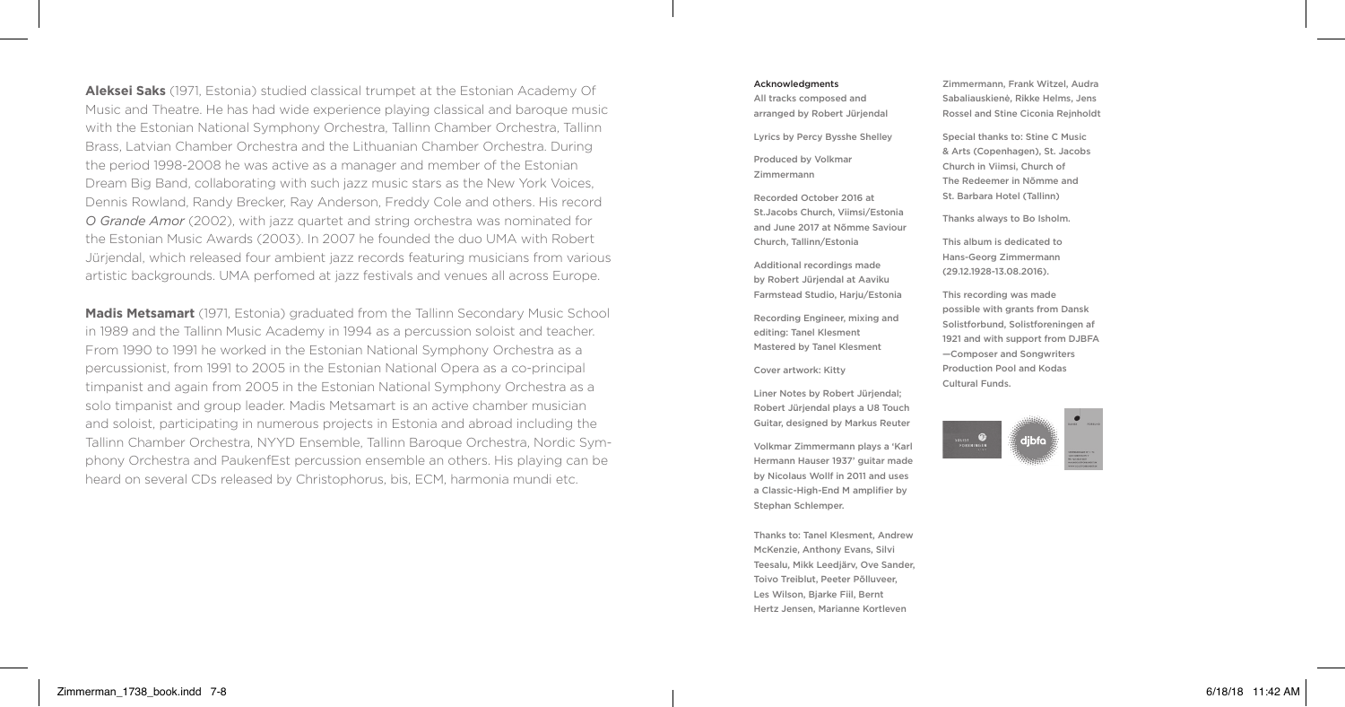**Aleksei Saks** (1971, Estonia) studied classical trumpet at the Estonian Academy Of Music and Theatre. He has had wide experience playing classical and baroque music with the Estonian National Symphony Orchestra, Tallinn Chamber Orchestra, Tallinn Brass, Latvian Chamber Orchestra and the Lithuanian Chamber Orchestra. During the period 1998-2008 he was active as a manager and member of the Estonian Dream Big Band, collaborating with such jazz music stars as the New York Voices, Dennis Rowland, Randy Brecker, Ray Anderson, Freddy Cole and others. His record *O Grande Amor* (2002), with jazz quartet and string orchestra was nominated for the Estonian Music Awards (2003). In 2007 he founded the duo UMA with Robert Jürjendal, which released four ambient jazz records featuring musicians from various artistic backgrounds. UMA perfomed at jazz festivals and venues all across Europe.

**Madis Metsamart** (1971, Estonia) graduated from the Tallinn Secondary Music School in 1989 and the Tallinn Music Academy in 1994 as a percussion soloist and teacher. From 1990 to 1991 he worked in the Estonian National Symphony Orchestra as a percussionist, from 1991 to 2005 in the Estonian National Opera as a co-principal timpanist and again from 2005 in the Estonian National Symphony Orchestra as a solo timpanist and group leader. Madis Metsamart is an active chamber musician and soloist, participating in numerous projects in Estonia and abroad including the Tallinn Chamber Orchestra, NYYD Ensemble, Tallinn Baroque Orchestra, Nordic Symphony Orchestra and PaukenfEst percussion ensemble an others. His playing can be heard on several CDs released by Christophorus, bis, ECM, harmonia mundi etc.

#### Acknowledgments

All tracks composed and arranged by Robert Jürjendal

Lyrics by Percy Bysshe Shelley

Produced by Volkmar Zimmermann

Recorded October 2016 at St.Jacobs Church, Viimsi/Estonia and June 2017 at Nõmme Saviour Church, Tallinn/Estonia

Additional recordings made by Robert Jürjendal at Aaviku Farmstead Studio, Harju/Estonia

Recording Engineer, mixing and editing: Tanel Klesment Mastered by Tanel Klesment

Cover artwork: Kitty

Liner Notes by Robert Jürjendal; Robert Jürjendal plays a U8 Touch Guitar, designed by Markus Reuter

Volkmar Zimmermann plays a 'Karl Hermann Hauser 1937' guitar made by Nicolaus Wollf in 2011 and uses a Classic-High-End M amplifier by Stephan Schlemper.

Thanks to: Tanel Klesment, Andrew McKenzie, Anthony Evans, Silvi Teesalu, Mikk Leedjärv, Ove Sander, Toivo Treiblut, Peeter Põlluveer, Les Wilson, Bjarke Fiil, Bernt Hertz Jensen, Marianne Kortleven

Zimmermann, Frank Witzel, Audra Sabaliauskienė, Rikke Helms, Jens Rossel and Stine Ciconia Rejnholdt

Special thanks to: Stine C Music & Arts (Copenhagen), St. Jacobs Church in Viimsi, Church of The Redeemer in Nõmme and St. Barbara Hotel (Tallinn)

Thanks always to Bo Isholm.

This album is dedicated to Hans-Georg Zimmermann (29.12.1928-13.08.2016).

This recording was made possible with grants from Dansk Solistforbund, Solistforeningen af 1921 and with support from DJBFA —Composer and Songwriters Production Pool and Kodas Cultural Funds.